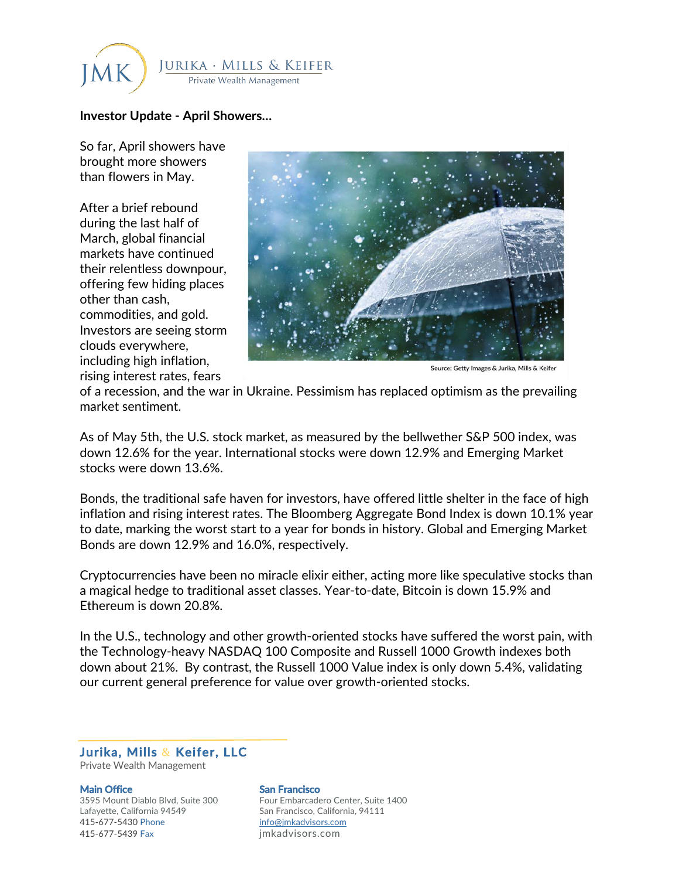

## **Investor Update - April Showers…**

So far, April showers have brought more showers than flowers in May.

After a brief rebound during the last half of March, global financial markets have continued their relentless downpour, offering few hiding places other than cash, commodities, and gold. Investors are seeing storm clouds everywhere, including high inflation, rising interest rates, fears



of a recession, and the war in Ukraine. Pessimism has replaced optimism as the prevailing market sentiment.

As of May 5th, the U.S. stock market, as measured by the bellwether S&P 500 index, was down 12.6% for the year. International stocks were down 12.9% and Emerging Market stocks were down 13.6%.

Bonds, the traditional safe haven for investors, have offered little shelter in the face of high inflation and rising interest rates. The Bloomberg Aggregate Bond Index is down 10.1% year to date, marking the worst start to a year for bonds in history. Global and Emerging Market Bonds are down 12.9% and 16.0%, respectively.

Cryptocurrencies have been no miracle elixir either, acting more like speculative stocks than a magical hedge to traditional asset classes. Year-to-date, Bitcoin is down 15.9% and Ethereum is down 20.8%.

In the U.S., technology and other growth-oriented stocks have suffered the worst pain, with the Technology-heavy NASDAQ 100 Composite and Russell 1000 Growth indexes both down about 21%. By contrast, the Russell 1000 Value index is only down 5.4%, validating our current general preference for value over growth-oriented stocks.

**Jurika, Mills** & **Keifer, LLC**  Private Wealth Management

Lafayette, California 94549 San Francisco, California, 94111 415-677-5430 Phone info@jmkadvisors.com 415-677-5439 Fax jmkadvisors.com

## **Main Office San Francisco San Francisco**

3595 Mount Diablo Blvd, Suite 300 Four Embarcadero Center, Suite 1400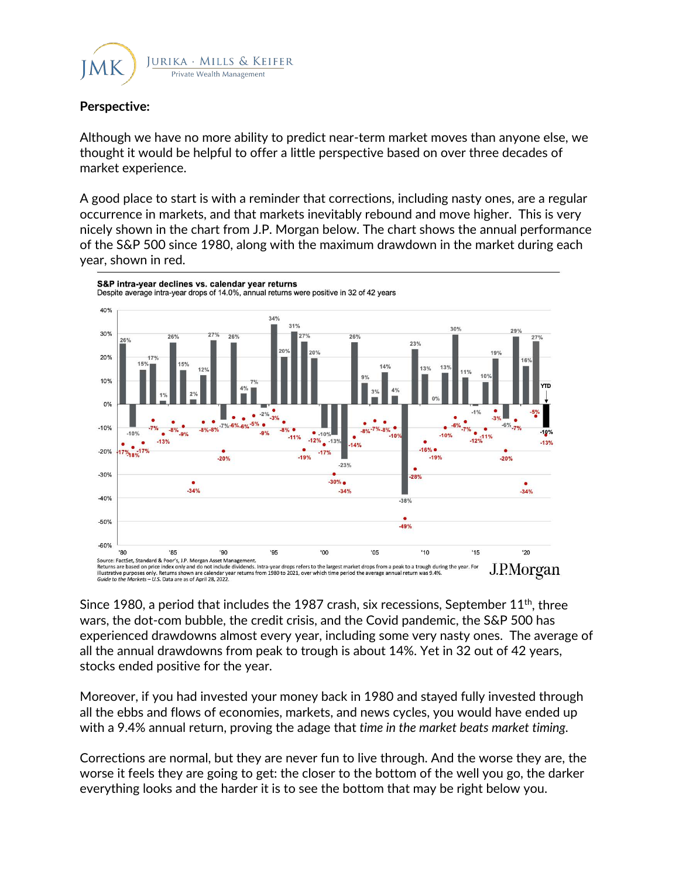

## **Perspective:**

Although we have no more ability to predict near-term market moves than anyone else, we thought it would be helpful to offer a little perspective based on over three decades of market experience.

A good place to start is with a reminder that corrections, including nasty ones, are a regular occurrence in markets, and that markets inevitably rebound and move higher. This is very nicely shown in the chart from J.P. Morgan below. The chart shows the annual performance of the S&P 500 since 1980, along with the maximum drawdown in the market during each year, shown in red.



Since 1980, a period that includes the 1987 crash, six recessions, September  $11<sup>th</sup>$ , three wars, the dot-com bubble, the credit crisis, and the Covid pandemic, the S&P 500 has experienced drawdowns almost every year, including some very nasty ones. The average of all the annual drawdowns from peak to trough is about 14%. Yet in 32 out of 42 years, stocks ended positive for the year.

Moreover, if you had invested your money back in 1980 and stayed fully invested through all the ebbs and flows of economies, markets, and news cycles, you would have ended up with a 9.4% annual return, proving the adage that *time in the market beats market timing.* 

Corrections are normal, but they are never fun to live through. And the worse they are, the worse it feels they are going to get: the closer to the bottom of the well you go, the darker everything looks and the harder it is to see the bottom that may be right below you.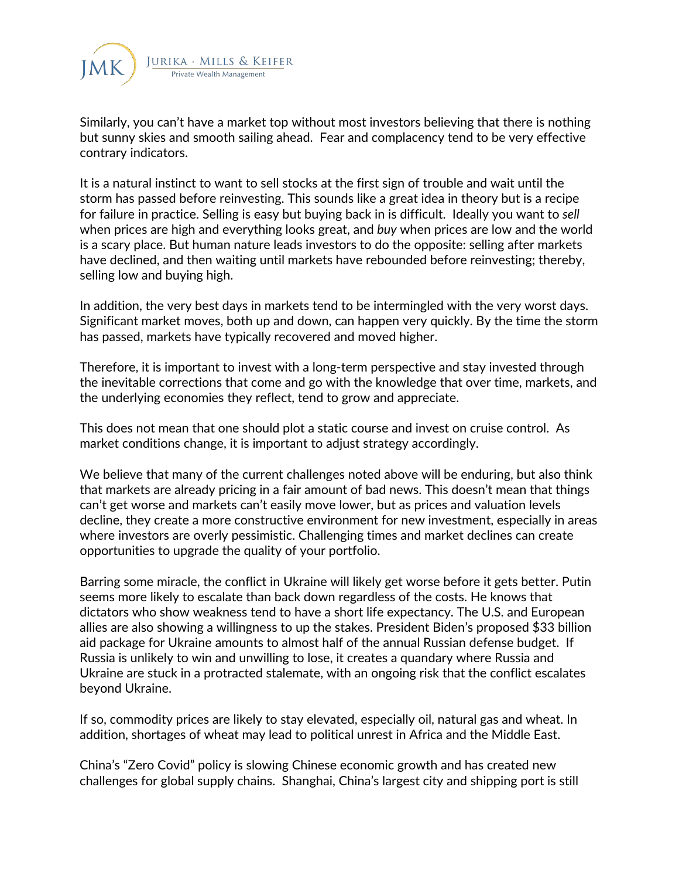

Similarly, you can't have a market top without most investors believing that there is nothing but sunny skies and smooth sailing ahead. Fear and complacency tend to be very effective contrary indicators.

It is a natural instinct to want to sell stocks at the first sign of trouble and wait until the storm has passed before reinvesting. This sounds like a great idea in theory but is a recipe for failure in practice. Selling is easy but buying back in is difficult. Ideally you want to *sell* when prices are high and everything looks great, and *buy* when prices are low and the world is a scary place. But human nature leads investors to do the opposite: selling after markets have declined, and then waiting until markets have rebounded before reinvesting; thereby, selling low and buying high.

In addition, the very best days in markets tend to be intermingled with the very worst days. Significant market moves, both up and down, can happen very quickly. By the time the storm has passed, markets have typically recovered and moved higher.

Therefore, it is important to invest with a long-term perspective and stay invested through the inevitable corrections that come and go with the knowledge that over time, markets, and the underlying economies they reflect, tend to grow and appreciate.

This does not mean that one should plot a static course and invest on cruise control. As market conditions change, it is important to adjust strategy accordingly.

We believe that many of the current challenges noted above will be enduring, but also think that markets are already pricing in a fair amount of bad news. This doesn't mean that things can't get worse and markets can't easily move lower, but as prices and valuation levels decline, they create a more constructive environment for new investment, especially in areas where investors are overly pessimistic. Challenging times and market declines can create opportunities to upgrade the quality of your portfolio.

Barring some miracle, the conflict in Ukraine will likely get worse before it gets better. Putin seems more likely to escalate than back down regardless of the costs. He knows that dictators who show weakness tend to have a short life expectancy. The U.S. and European allies are also showing a willingness to up the stakes. President Biden's proposed \$33 billion aid package for Ukraine amounts to almost half of the annual Russian defense budget. If Russia is unlikely to win and unwilling to lose, it creates a quandary where Russia and Ukraine are stuck in a protracted stalemate, with an ongoing risk that the conflict escalates beyond Ukraine.

If so, commodity prices are likely to stay elevated, especially oil, natural gas and wheat. In addition, shortages of wheat may lead to political unrest in Africa and the Middle East.

China's "Zero Covid" policy is slowing Chinese economic growth and has created new challenges for global supply chains. Shanghai, China's largest city and shipping port is still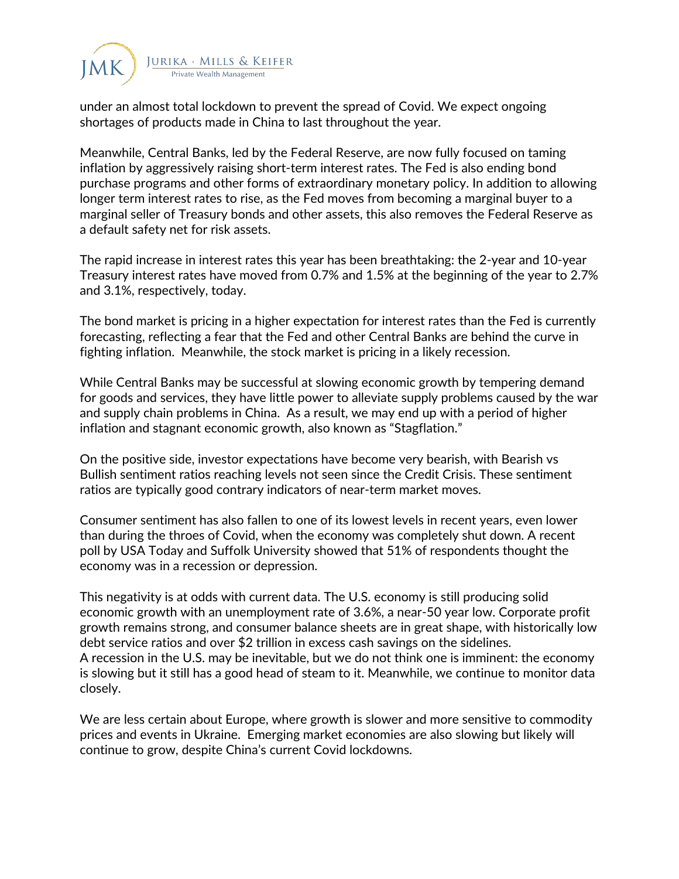

under an almost total lockdown to prevent the spread of Covid. We expect ongoing shortages of products made in China to last throughout the year.

Meanwhile, Central Banks, led by the Federal Reserve, are now fully focused on taming inflation by aggressively raising short-term interest rates. The Fed is also ending bond purchase programs and other forms of extraordinary monetary policy. In addition to allowing longer term interest rates to rise, as the Fed moves from becoming a marginal buyer to a marginal seller of Treasury bonds and other assets, this also removes the Federal Reserve as a default safety net for risk assets.

The rapid increase in interest rates this year has been breathtaking: the 2-year and 10-year Treasury interest rates have moved from 0.7% and 1.5% at the beginning of the year to 2.7% and 3.1%, respectively, today.

The bond market is pricing in a higher expectation for interest rates than the Fed is currently forecasting, reflecting a fear that the Fed and other Central Banks are behind the curve in fighting inflation. Meanwhile, the stock market is pricing in a likely recession.

While Central Banks may be successful at slowing economic growth by tempering demand for goods and services, they have little power to alleviate supply problems caused by the war and supply chain problems in China. As a result, we may end up with a period of higher inflation and stagnant economic growth, also known as "Stagflation."

On the positive side, investor expectations have become very bearish, with Bearish vs Bullish sentiment ratios reaching levels not seen since the Credit Crisis. These sentiment ratios are typically good contrary indicators of near-term market moves.

Consumer sentiment has also fallen to one of its lowest levels in recent years, even lower than during the throes of Covid, when the economy was completely shut down. A recent poll by USA Today and Suffolk University showed that 51% of respondents thought the economy was in a recession or depression.

This negativity is at odds with current data. The U.S. economy is still producing solid economic growth with an unemployment rate of 3.6%, a near-50 year low. Corporate profit growth remains strong, and consumer balance sheets are in great shape, with historically low debt service ratios and over \$2 trillion in excess cash savings on the sidelines. A recession in the U.S. may be inevitable, but we do not think one is imminent: the economy is slowing but it still has a good head of steam to it. Meanwhile, we continue to monitor data closely.

We are less certain about Europe, where growth is slower and more sensitive to commodity prices and events in Ukraine. Emerging market economies are also slowing but likely will continue to grow, despite China's current Covid lockdowns.